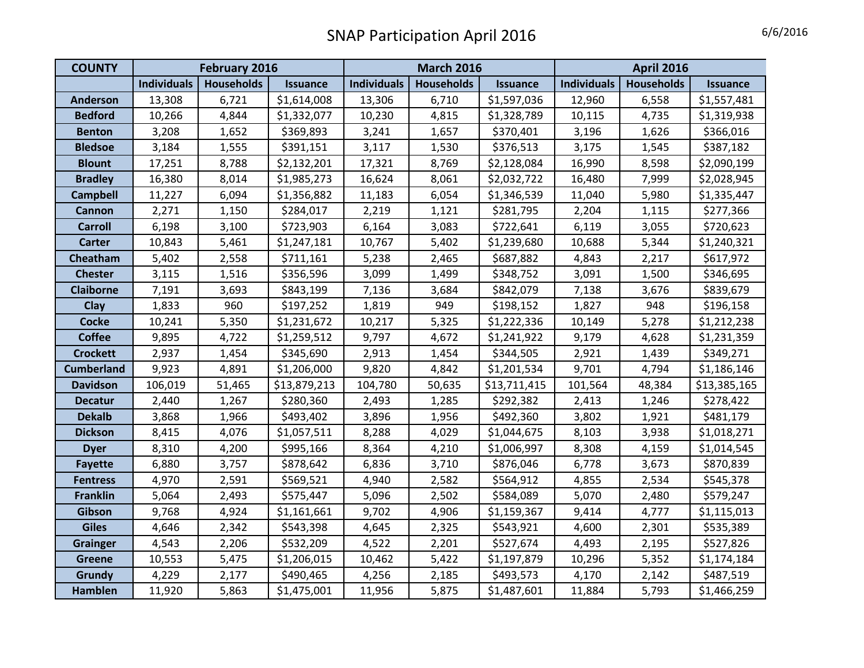| <b>COUNTY</b>     | February 2016      |                   | <b>March 2016</b> |                    |                   | <b>April 2016</b> |                    |                   |                 |
|-------------------|--------------------|-------------------|-------------------|--------------------|-------------------|-------------------|--------------------|-------------------|-----------------|
|                   | <b>Individuals</b> | <b>Households</b> | <b>Issuance</b>   | <b>Individuals</b> | <b>Households</b> | <b>Issuance</b>   | <b>Individuals</b> | <b>Households</b> | <b>Issuance</b> |
| <b>Anderson</b>   | 13,308             | 6,721             | \$1,614,008       | 13,306             | 6,710             | \$1,597,036       | 12,960             | 6,558             | \$1,557,481     |
| <b>Bedford</b>    | 10,266             | 4,844             | \$1,332,077       | 10,230             | 4,815             | \$1,328,789       | 10,115             | 4,735             | \$1,319,938     |
| <b>Benton</b>     | 3,208              | 1,652             | \$369,893         | 3,241              | 1,657             | \$370,401         | 3,196              | 1,626             | \$366,016       |
| <b>Bledsoe</b>    | 3,184              | 1,555             | \$391,151         | 3,117              | 1,530             | \$376,513         | 3,175              | 1,545             | \$387,182       |
| <b>Blount</b>     | 17,251             | 8,788             | \$2,132,201       | 17,321             | 8,769             | \$2,128,084       | 16,990             | 8,598             | \$2,090,199     |
| <b>Bradley</b>    | 16,380             | 8,014             | \$1,985,273       | 16,624             | 8,061             | \$2,032,722       | 16,480             | 7,999             | \$2,028,945     |
| <b>Campbell</b>   | 11,227             | 6,094             | \$1,356,882       | 11,183             | 6,054             | \$1,346,539       | 11,040             | 5,980             | \$1,335,447     |
| Cannon            | 2,271              | 1,150             | \$284,017         | 2,219              | 1,121             | \$281,795         | 2,204              | 1,115             | \$277,366       |
| <b>Carroll</b>    | 6,198              | 3,100             | \$723,903         | 6,164              | 3,083             | \$722,641         | 6,119              | 3,055             | \$720,623       |
| <b>Carter</b>     | 10,843             | 5,461             | \$1,247,181       | 10,767             | 5,402             | \$1,239,680       | 10,688             | 5,344             | \$1,240,321     |
| Cheatham          | 5,402              | 2,558             | \$711,161         | 5,238              | 2,465             | \$687,882         | 4,843              | 2,217             | \$617,972       |
| <b>Chester</b>    | 3,115              | 1,516             | \$356,596         | 3,099              | 1,499             | \$348,752         | 3,091              | 1,500             | \$346,695       |
| <b>Claiborne</b>  | 7,191              | 3,693             | \$843,199         | 7,136              | 3,684             | \$842,079         | 7,138              | 3,676             | \$839,679       |
| Clay              | 1,833              | 960               | \$197,252         | 1,819              | 949               | \$198,152         | 1,827              | 948               | \$196,158       |
| <b>Cocke</b>      | 10,241             | 5,350             | \$1,231,672       | 10,217             | 5,325             | \$1,222,336       | 10,149             | 5,278             | \$1,212,238     |
| <b>Coffee</b>     | 9,895              | 4,722             | \$1,259,512       | 9,797              | 4,672             | \$1,241,922       | 9,179              | 4,628             | \$1,231,359     |
| <b>Crockett</b>   | 2,937              | 1,454             | \$345,690         | 2,913              | 1,454             | \$344,505         | 2,921              | 1,439             | \$349,271       |
| <b>Cumberland</b> | 9,923              | 4,891             | \$1,206,000       | 9,820              | 4,842             | \$1,201,534       | 9,701              | 4,794             | \$1,186,146     |
| <b>Davidson</b>   | 106,019            | 51,465            | \$13,879,213      | 104,780            | 50,635            | \$13,711,415      | 101,564            | 48,384            | \$13,385,165    |
| <b>Decatur</b>    | 2,440              | 1,267             | \$280,360         | 2,493              | 1,285             | \$292,382         | 2,413              | 1,246             | \$278,422       |
| <b>Dekalb</b>     | 3,868              | 1,966             | \$493,402         | 3,896              | 1,956             | \$492,360         | 3,802              | 1,921             | \$481,179       |
| <b>Dickson</b>    | 8,415              | 4,076             | \$1,057,511       | 8,288              | 4,029             | \$1,044,675       | 8,103              | 3,938             | \$1,018,271     |
| <b>Dyer</b>       | 8,310              | 4,200             | \$995,166         | 8,364              | 4,210             | \$1,006,997       | 8,308              | 4,159             | \$1,014,545     |
| <b>Fayette</b>    | 6,880              | 3,757             | \$878,642         | 6,836              | 3,710             | \$876,046         | 6,778              | 3,673             | \$870,839       |
| <b>Fentress</b>   | 4,970              | 2,591             | \$569,521         | 4,940              | 2,582             | \$564,912         | 4,855              | 2,534             | \$545,378       |
| <b>Franklin</b>   | 5,064              | 2,493             | \$575,447         | 5,096              | 2,502             | \$584,089         | 5,070              | 2,480             | \$579,247       |
| Gibson            | 9,768              | 4,924             | \$1,161,661       | 9,702              | 4,906             | \$1,159,367       | 9,414              | 4,777             | \$1,115,013     |
| <b>Giles</b>      | 4,646              | 2,342             | \$543,398         | 4,645              | 2,325             | \$543,921         | 4,600              | 2,301             | \$535,389       |
| <b>Grainger</b>   | 4,543              | 2,206             | \$532,209         | 4,522              | 2,201             | \$527,674         | 4,493              | 2,195             | \$527,826       |
| <b>Greene</b>     | 10,553             | 5,475             | \$1,206,015       | 10,462             | 5,422             | \$1,197,879       | 10,296             | 5,352             | \$1,174,184     |
| Grundy            | 4,229              | 2,177             | \$490,465         | 4,256              | 2,185             | \$493,573         | 4,170              | 2,142             | \$487,519       |
| Hamblen           | 11,920             | 5,863             | \$1,475,001       | 11,956             | 5,875             | \$1,487,601       | 11,884             | 5,793             | \$1,466,259     |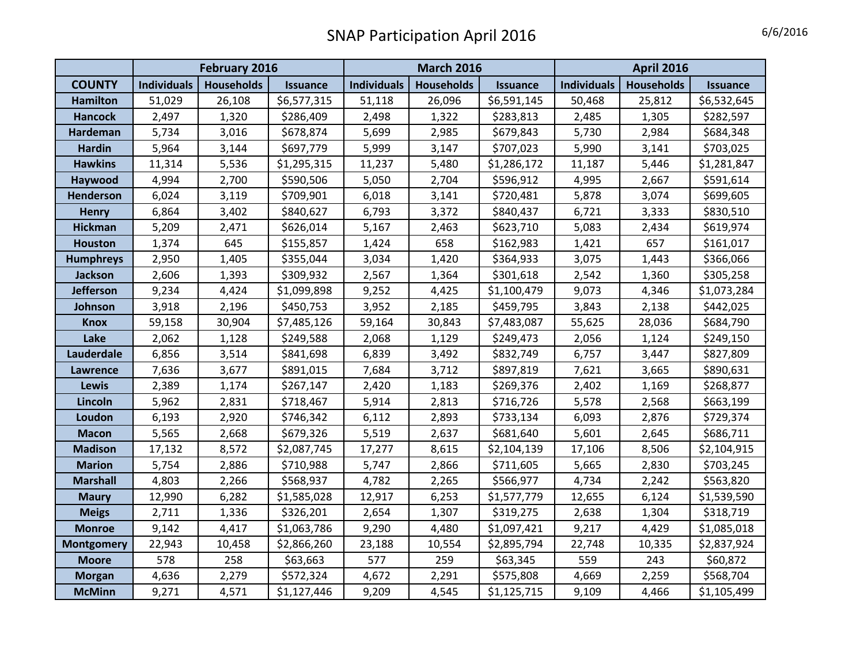## SNAP Participation April 2016 6/6/2016

|                   | February 2016      |                   |                 | <b>March 2016</b>  |                   |                 | <b>April 2016</b>  |                   |                 |
|-------------------|--------------------|-------------------|-----------------|--------------------|-------------------|-----------------|--------------------|-------------------|-----------------|
| <b>COUNTY</b>     | <b>Individuals</b> | <b>Households</b> | <b>Issuance</b> | <b>Individuals</b> | <b>Households</b> | <b>Issuance</b> | <b>Individuals</b> | <b>Households</b> | <b>Issuance</b> |
| <b>Hamilton</b>   | 51,029             | 26,108            | \$6,577,315     | 51,118             | 26,096            | \$6,591,145     | 50,468             | 25,812            | \$6,532,645     |
| <b>Hancock</b>    | 2,497              | 1,320             | \$286,409       | 2,498              | 1,322             | \$283,813       | 2,485              | 1,305             | \$282,597       |
| Hardeman          | 5,734              | 3,016             | \$678,874       | 5,699              | 2,985             | \$679,843       | 5,730              | 2,984             | \$684,348       |
| <b>Hardin</b>     | 5,964              | 3,144             | \$697,779       | 5,999              | 3,147             | \$707,023       | 5,990              | 3,141             | \$703,025       |
| <b>Hawkins</b>    | 11,314             | 5,536             | \$1,295,315     | 11,237             | 5,480             | \$1,286,172     | 11,187             | 5,446             | \$1,281,847     |
| Haywood           | 4,994              | 2,700             | \$590,506       | 5,050              | 2,704             | \$596,912       | 4,995              | 2,667             | \$591,614       |
| <b>Henderson</b>  | 6,024              | 3,119             | \$709,901       | 6,018              | 3,141             | \$720,481       | 5,878              | 3,074             | \$699,605       |
| <b>Henry</b>      | 6,864              | 3,402             | \$840,627       | 6,793              | 3,372             | \$840,437       | 6,721              | 3,333             | \$830,510       |
| <b>Hickman</b>    | 5,209              | 2,471             | \$626,014       | 5,167              | 2,463             | \$623,710       | 5,083              | 2,434             | \$619,974       |
| <b>Houston</b>    | 1,374              | 645               | \$155,857       | 1,424              | 658               | \$162,983       | 1,421              | 657               | \$161,017       |
| <b>Humphreys</b>  | 2,950              | 1,405             | \$355,044       | 3,034              | 1,420             | \$364,933       | 3,075              | 1,443             | \$366,066       |
| Jackson           | 2,606              | 1,393             | \$309,932       | 2,567              | 1,364             | \$301,618       | 2,542              | 1,360             | \$305,258       |
| <b>Jefferson</b>  | 9,234              | 4,424             | \$1,099,898     | 9,252              | 4,425             | \$1,100,479     | 9,073              | 4,346             | \$1,073,284     |
| Johnson           | 3,918              | 2,196             | \$450,753       | 3,952              | 2,185             | \$459,795       | 3,843              | 2,138             | \$442,025       |
| <b>Knox</b>       | 59,158             | 30,904            | \$7,485,126     | 59,164             | 30,843            | \$7,483,087     | 55,625             | 28,036            | \$684,790       |
| Lake              | 2,062              | 1,128             | \$249,588       | 2,068              | 1,129             | \$249,473       | 2,056              | 1,124             | \$249,150       |
| Lauderdale        | 6,856              | 3,514             | \$841,698       | 6,839              | 3,492             | \$832,749       | 6,757              | 3,447             | \$827,809       |
| <b>Lawrence</b>   | 7,636              | 3,677             | \$891,015       | 7,684              | 3,712             | \$897,819       | 7,621              | 3,665             | \$890,631       |
| <b>Lewis</b>      | 2,389              | 1,174             | \$267,147       | 2,420              | 1,183             | \$269,376       | 2,402              | 1,169             | \$268,877       |
| Lincoln           | 5,962              | 2,831             | \$718,467       | 5,914              | 2,813             | \$716,726       | 5,578              | 2,568             | \$663,199       |
| Loudon            | 6,193              | 2,920             | \$746,342       | 6,112              | 2,893             | \$733,134       | 6,093              | 2,876             | \$729,374       |
| <b>Macon</b>      | 5,565              | 2,668             | \$679,326       | 5,519              | 2,637             | \$681,640       | 5,601              | 2,645             | \$686,711       |
| <b>Madison</b>    | 17,132             | 8,572             | \$2,087,745     | 17,277             | 8,615             | \$2,104,139     | 17,106             | 8,506             | \$2,104,915     |
| <b>Marion</b>     | 5,754              | 2,886             | \$710,988       | 5,747              | 2,866             | \$711,605       | 5,665              | 2,830             | \$703,245       |
| <b>Marshall</b>   | 4,803              | 2,266             | \$568,937       | 4,782              | 2,265             | \$566,977       | 4,734              | 2,242             | \$563,820       |
| <b>Maury</b>      | 12,990             | 6,282             | \$1,585,028     | 12,917             | 6,253             | \$1,577,779     | 12,655             | 6,124             | \$1,539,590     |
| <b>Meigs</b>      | 2,711              | 1,336             | \$326,201       | 2,654              | 1,307             | \$319,275       | 2,638              | 1,304             | \$318,719       |
| <b>Monroe</b>     | 9,142              | 4,417             | \$1,063,786     | 9,290              | 4,480             | \$1,097,421     | 9,217              | 4,429             | \$1,085,018     |
| <b>Montgomery</b> | 22,943             | 10,458            | \$2,866,260     | 23,188             | 10,554            | \$2,895,794     | 22,748             | 10,335            | \$2,837,924     |
| <b>Moore</b>      | 578                | 258               | \$63,663        | 577                | 259               | \$63,345        | 559                | 243               | \$60,872        |
| <b>Morgan</b>     | 4,636              | 2,279             | \$572,324       | 4,672              | 2,291             | \$575,808       | 4,669              | 2,259             | \$568,704       |
| <b>McMinn</b>     | 9,271              | 4,571             | \$1,127,446     | 9,209              | 4,545             | \$1,125,715     | 9,109              | 4,466             | \$1,105,499     |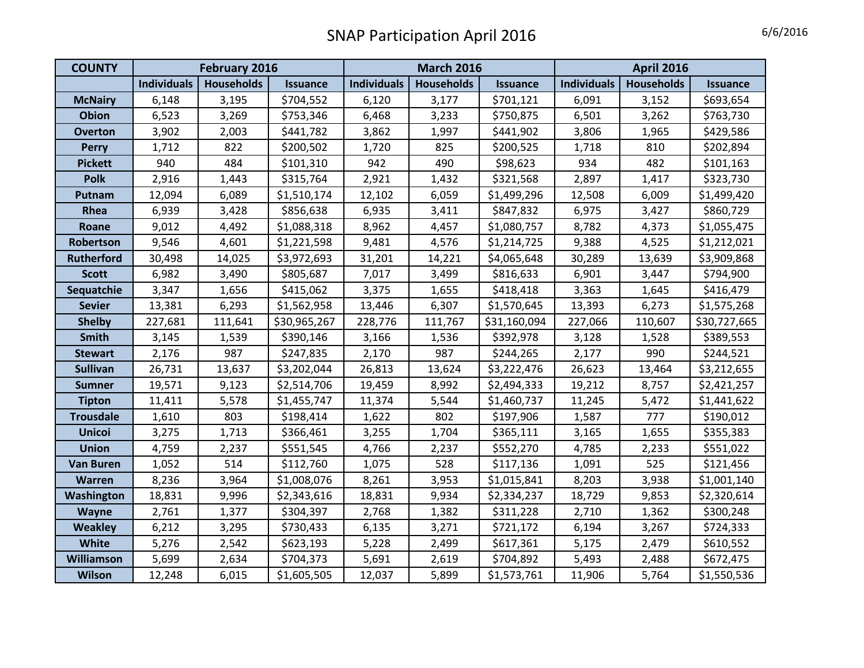## SNAP Participation April 2016

| <b>COUNTY</b>     | February 2016      |                   |                 | <b>March 2016</b>  |                   |                 | <b>April 2016</b>  |                   |                 |
|-------------------|--------------------|-------------------|-----------------|--------------------|-------------------|-----------------|--------------------|-------------------|-----------------|
|                   | <b>Individuals</b> | <b>Households</b> | <b>Issuance</b> | <b>Individuals</b> | <b>Households</b> | <b>Issuance</b> | <b>Individuals</b> | <b>Households</b> | <b>Issuance</b> |
| <b>McNairy</b>    | 6,148              | 3,195             | \$704,552       | 6,120              | 3,177             | \$701,121       | 6,091              | 3,152             | \$693,654       |
| <b>Obion</b>      | 6,523              | 3,269             | \$753,346       | 6,468              | 3,233             | \$750,875       | 6,501              | 3,262             | \$763,730       |
| <b>Overton</b>    | 3,902              | 2,003             | \$441,782       | 3,862              | 1,997             | \$441,902       | 3,806              | 1,965             | \$429,586       |
| <b>Perry</b>      | 1,712              | 822               | \$200,502       | 1,720              | 825               | \$200,525       | 1,718              | 810               | \$202,894       |
| <b>Pickett</b>    | 940                | 484               | \$101,310       | 942                | 490               | \$98,623        | 934                | 482               | \$101,163       |
| <b>Polk</b>       | 2,916              | 1,443             | \$315,764       | 2,921              | 1,432             | \$321,568       | 2,897              | 1,417             | \$323,730       |
| Putnam            | 12,094             | 6,089             | \$1,510,174     | 12,102             | 6,059             | \$1,499,296     | 12,508             | 6,009             | \$1,499,420     |
| Rhea              | 6,939              | 3,428             | \$856,638       | 6,935              | 3,411             | \$847,832       | 6,975              | 3,427             | \$860,729       |
| Roane             | 9,012              | 4,492             | \$1,088,318     | 8,962              | 4,457             | \$1,080,757     | 8,782              | 4,373             | \$1,055,475     |
| Robertson         | 9,546              | 4,601             | \$1,221,598     | 9,481              | 4,576             | \$1,214,725     | 9,388              | 4,525             | \$1,212,021     |
| <b>Rutherford</b> | 30,498             | 14,025            | \$3,972,693     | 31,201             | 14,221            | \$4,065,648     | 30,289             | 13,639            | \$3,909,868     |
| <b>Scott</b>      | 6,982              | 3,490             | \$805,687       | 7,017              | 3,499             | \$816,633       | 6,901              | 3,447             | \$794,900       |
| Sequatchie        | 3,347              | 1,656             | \$415,062       | 3,375              | 1,655             | \$418,418       | 3,363              | 1,645             | \$416,479       |
| <b>Sevier</b>     | 13,381             | 6,293             | \$1,562,958     | 13,446             | 6,307             | \$1,570,645     | 13,393             | 6,273             | \$1,575,268     |
| <b>Shelby</b>     | 227,681            | 111,641           | \$30,965,267    | 228,776            | 111,767           | \$31,160,094    | 227,066            | 110,607           | \$30,727,665    |
| <b>Smith</b>      | 3,145              | 1,539             | \$390,146       | 3,166              | 1,536             | \$392,978       | 3,128              | 1,528             | \$389,553       |
| <b>Stewart</b>    | 2,176              | 987               | \$247,835       | 2,170              | 987               | \$244,265       | 2,177              | 990               | \$244,521       |
| <b>Sullivan</b>   | 26,731             | 13,637            | \$3,202,044     | 26,813             | 13,624            | \$3,222,476     | 26,623             | 13,464            | \$3,212,655     |
| <b>Sumner</b>     | 19,571             | 9,123             | \$2,514,706     | 19,459             | 8,992             | \$2,494,333     | 19,212             | 8,757             | \$2,421,257     |
| <b>Tipton</b>     | 11,411             | 5,578             | \$1,455,747     | 11,374             | 5,544             | \$1,460,737     | 11,245             | 5,472             | \$1,441,622     |
| <b>Trousdale</b>  | 1,610              | 803               | \$198,414       | 1,622              | 802               | \$197,906       | 1,587              | 777               | \$190,012       |
| <b>Unicoi</b>     | 3,275              | 1,713             | \$366,461       | 3,255              | 1,704             | \$365,111       | 3,165              | 1,655             | \$355,383       |
| <b>Union</b>      | 4,759              | 2,237             | \$551,545       | 4,766              | 2,237             | \$552,270       | 4,785              | 2,233             | \$551,022       |
| <b>Van Buren</b>  | 1,052              | 514               | \$112,760       | 1,075              | 528               | \$117,136       | 1,091              | 525               | \$121,456       |
| Warren            | 8,236              | 3,964             | \$1,008,076     | 8,261              | 3,953             | \$1,015,841     | 8,203              | 3,938             | \$1,001,140     |
| Washington        | 18,831             | 9,996             | \$2,343,616     | 18,831             | 9,934             | \$2,334,237     | 18,729             | 9,853             | \$2,320,614     |
| Wayne             | 2,761              | 1,377             | \$304,397       | 2,768              | 1,382             | \$311,228       | 2,710              | 1,362             | \$300,248       |
| <b>Weakley</b>    | 6,212              | 3,295             | \$730,433       | 6,135              | 3,271             | \$721,172       | 6,194              | 3,267             | \$724,333       |
| White             | 5,276              | 2,542             | \$623,193       | 5,228              | 2,499             | \$617,361       | 5,175              | 2,479             | \$610,552       |
| <b>Williamson</b> | 5,699              | 2,634             | \$704,373       | 5,691              | 2,619             | \$704,892       | 5,493              | 2,488             | \$672,475       |
| Wilson            | 12,248             | 6,015             | \$1,605,505     | 12,037             | 5,899             | \$1,573,761     | 11,906             | 5,764             | \$1,550,536     |